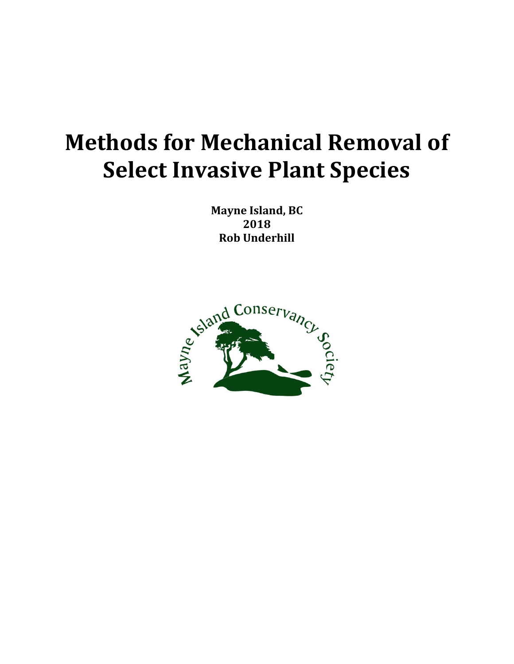# **Methods for Mechanical Removal of Select Invasive Plant Species**

**Mayne Island, BC 2018 Rob Underhill**

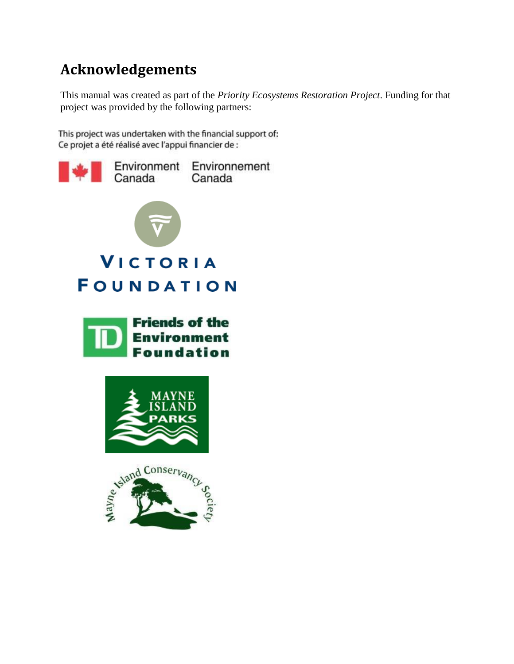# **Acknowledgements**

This manual was created as part of the *Priority Ecosystems Restoration Project*. Funding for that project was provided by the following partners:

This project was undertaken with the financial support of: Ce projet a été réalisé avec l'appui financier de :

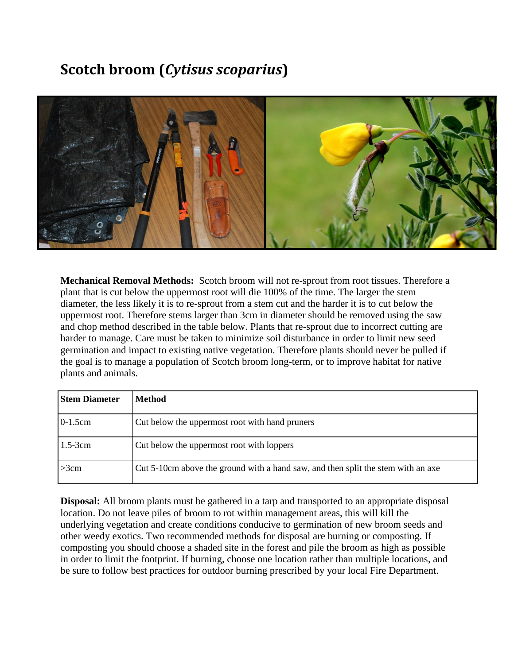# **Scotch broom (***Cytisus scoparius***)**



**Mechanical Removal Methods:** Scotch broom will not re-sprout from root tissues. Therefore a plant that is cut below the uppermost root will die 100% of the time. The larger the stem diameter, the less likely it is to re-sprout from a stem cut and the harder it is to cut below the uppermost root. Therefore stems larger than 3cm in diameter should be removed using the saw and chop method described in the table below. Plants that re-sprout due to incorrect cutting are harder to manage. Care must be taken to minimize soil disturbance in order to limit new seed germination and impact to existing native vegetation. Therefore plants should never be pulled if the goal is to manage a population of Scotch broom long-term, or to improve habitat for native plants and animals.

| <b>Stem Diameter</b> | <b>Method</b>                                                                    |
|----------------------|----------------------------------------------------------------------------------|
| $0-1.5cm$            | Cut below the uppermost root with hand pruners                                   |
| $1.5-3cm$            | Cut below the uppermost root with loppers                                        |
| >3cm                 | Cut 5-10cm above the ground with a hand saw, and then split the stem with an axe |

**Disposal:** All broom plants must be gathered in a tarp and transported to an appropriate disposal location. Do not leave piles of broom to rot within management areas, this will kill the underlying vegetation and create conditions conducive to germination of new broom seeds and other weedy exotics. Two recommended methods for disposal are burning or composting. If composting you should choose a shaded site in the forest and pile the broom as high as possible in order to limit the footprint. If burning, choose one location rather than multiple locations, and be sure to follow best practices for outdoor burning prescribed by your local Fire Department.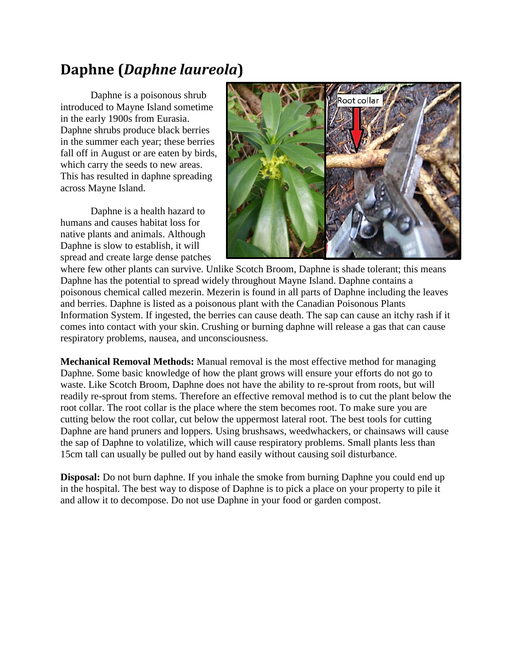# **Daphne (***Daphne laureola***)**

Daphne is a poisonous shrub introduced to Mayne Island sometime in the early 1900s from Eurasia. Daphne shrubs produce black berries in the summer each year; these berries fall off in August or are eaten by birds, which carry the seeds to new areas. This has resulted in daphne spreading across Mayne Island.

Daphne is a health hazard to humans and causes habitat loss for native plants and animals. Although Daphne is slow to establish, it will spread and create large dense patches



where few other plants can survive. Unlike Scotch Broom, Daphne is shade tolerant; this means Daphne has the potential to spread widely throughout Mayne Island. Daphne contains a poisonous chemical called mezerin. Mezerin is found in all parts of Daphne including the leaves and berries. Daphne is listed as a poisonous plant with the Canadian Poisonous Plants Information System. If ingested, the berries can cause death. The sap can cause an itchy rash if it comes into contact with your skin. Crushing or burning daphne will release a gas that can cause respiratory problems, nausea, and unconsciousness.

**Mechanical Removal Methods:** Manual removal is the most effective method for managing Daphne. Some basic knowledge of how the plant grows will ensure your efforts do not go to waste. Like Scotch Broom, Daphne does not have the ability to re-sprout from roots, but will readily re-sprout from stems. Therefore an effective removal method is to cut the plant below the root collar. The root collar is the place where the stem becomes root. To make sure you are cutting below the root collar, cut below the uppermost lateral root. The best tools for cutting Daphne are hand pruners and loppers. Using brushsaws, weedwhackers, or chainsaws will cause the sap of Daphne to volatilize, which will cause respiratory problems. Small plants less than 15cm tall can usually be pulled out by hand easily without causing soil disturbance.

**Disposal:** Do not burn daphne. If you inhale the smoke from burning Daphne you could end up in the hospital. The best way to dispose of Daphne is to pick a place on your property to pile it and allow it to decompose. Do not use Daphne in your food or garden compost.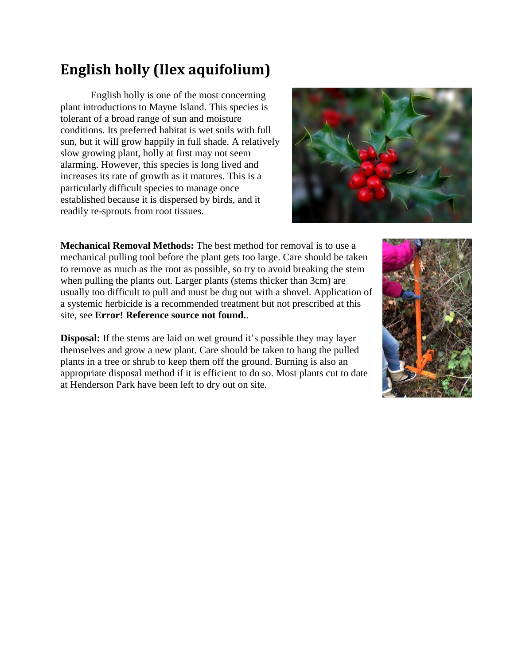# **English holly (Ilex aquifolium)**

English holly is one of the most concerning plant introductions to Mayne Island. This species is tolerant of a broad range of sun and moisture conditions. Its preferred habitat is wet soils with full sun, but it will grow happily in full shade. A relatively slow growing plant, holly at first may not seem alarming. However, this species is long lived and increases its rate of growth as it matures. This is a particularly difficult species to manage once established because it is dispersed by birds, and it readily re-sprouts from root tissues.



**Mechanical Removal Methods:** The best method for removal is to use a mechanical pulling tool before the plant gets too large. Care should be taken to remove as much as the root as possible, so try to avoid breaking the stem when pulling the plants out. Larger plants (stems thicker than 3cm) are usually too difficult to pull and must be dug out with a shovel. Application of a systemic herbicide is a recommended treatment but not prescribed at this site, see **Error! Reference source not found.**.

**Disposal:** If the stems are laid on wet ground it's possible they may layer themselves and grow a new plant. Care should be taken to hang the pulled plants in a tree or shrub to keep them off the ground. Burning is also an appropriate disposal method if it is efficient to do so. Most plants cut to date at Henderson Park have been left to dry out on site.